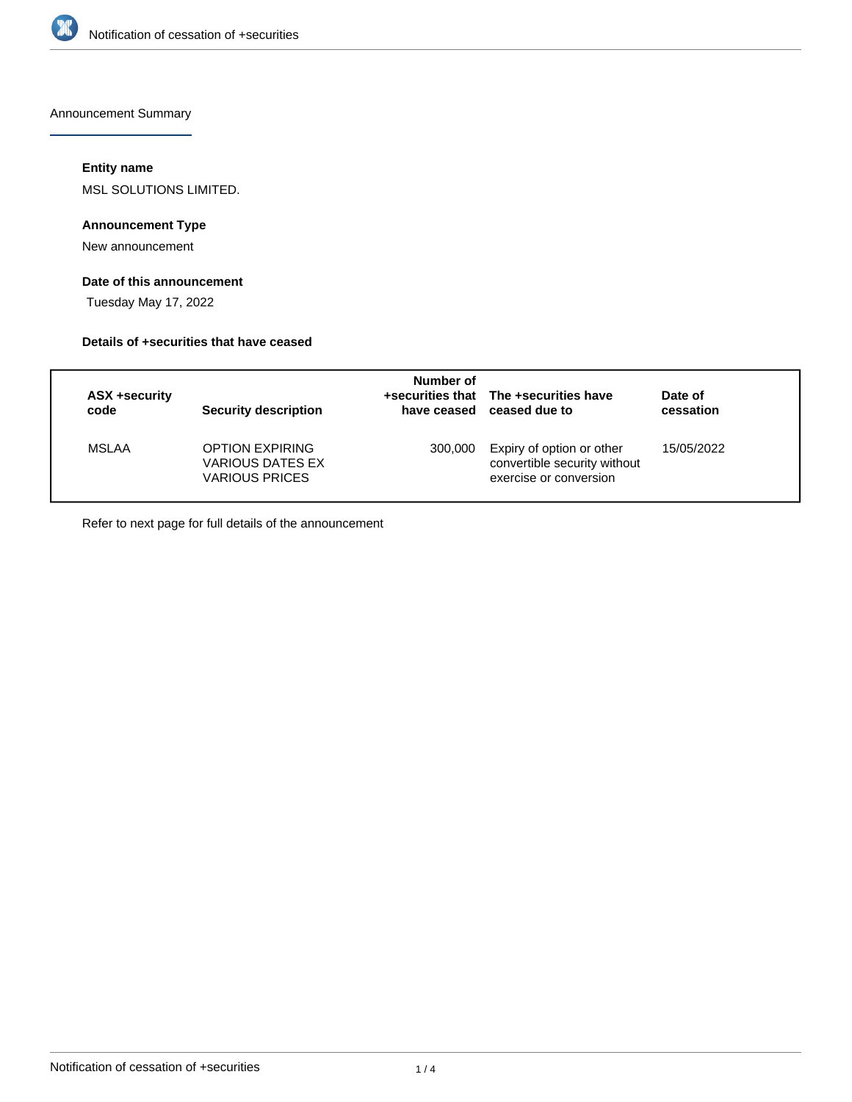

Announcement Summary

# **Entity name**

MSL SOLUTIONS LIMITED.

## **Announcement Type**

New announcement

# **Date of this announcement**

Tuesday May 17, 2022

#### **Details of +securities that have ceased**

| <b>ASX +security</b><br>code | Security description                                                | Number of | +securities that The +securities have<br>have ceased ceased due to                  | Date of<br>cessation |  |
|------------------------------|---------------------------------------------------------------------|-----------|-------------------------------------------------------------------------------------|----------------------|--|
| <b>MSLAA</b>                 | <b>OPTION EXPIRING</b><br>VARIOUS DATES EX<br><b>VARIOUS PRICES</b> | 300,000   | Expiry of option or other<br>convertible security without<br>exercise or conversion | 15/05/2022           |  |

Refer to next page for full details of the announcement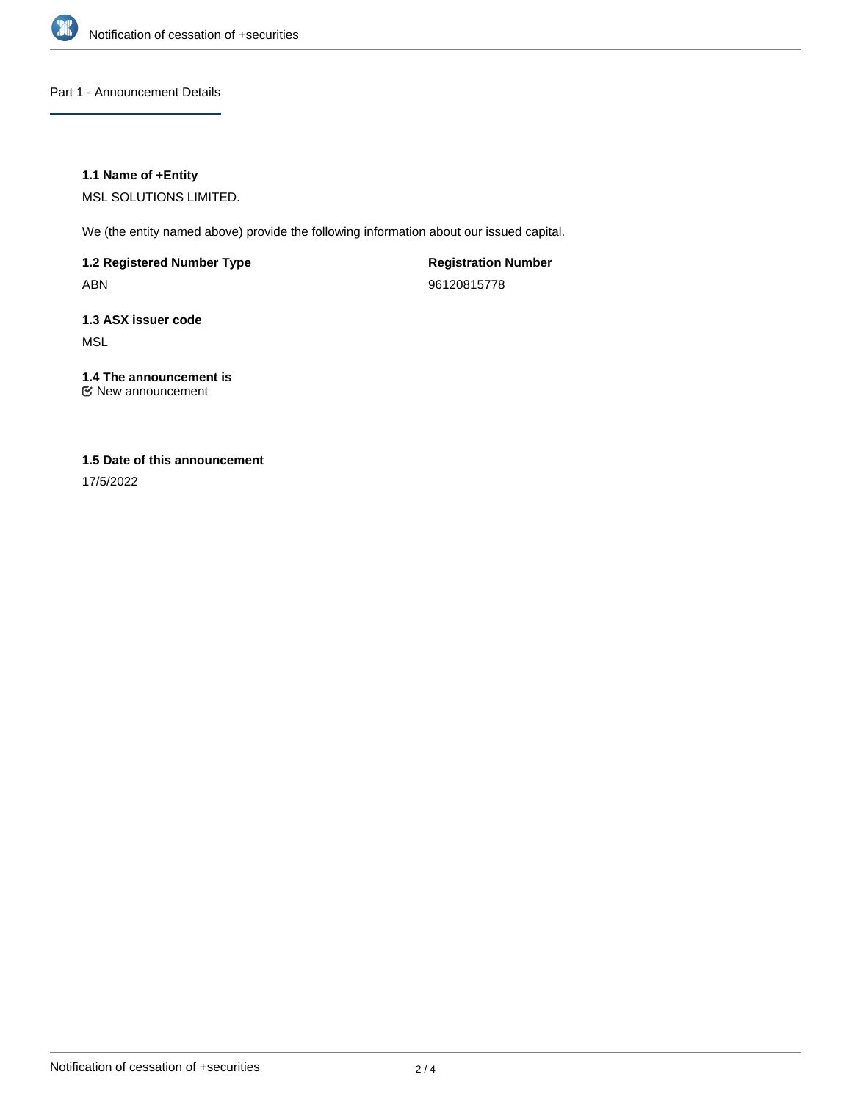

Part 1 - Announcement Details

## **1.1 Name of +Entity**

MSL SOLUTIONS LIMITED.

We (the entity named above) provide the following information about our issued capital.

**1.2 Registered Number Type** ABN

**Registration Number** 96120815778

**1.3 ASX issuer code** MSL

#### **1.4 The announcement is** New announcement

# **1.5 Date of this announcement**

17/5/2022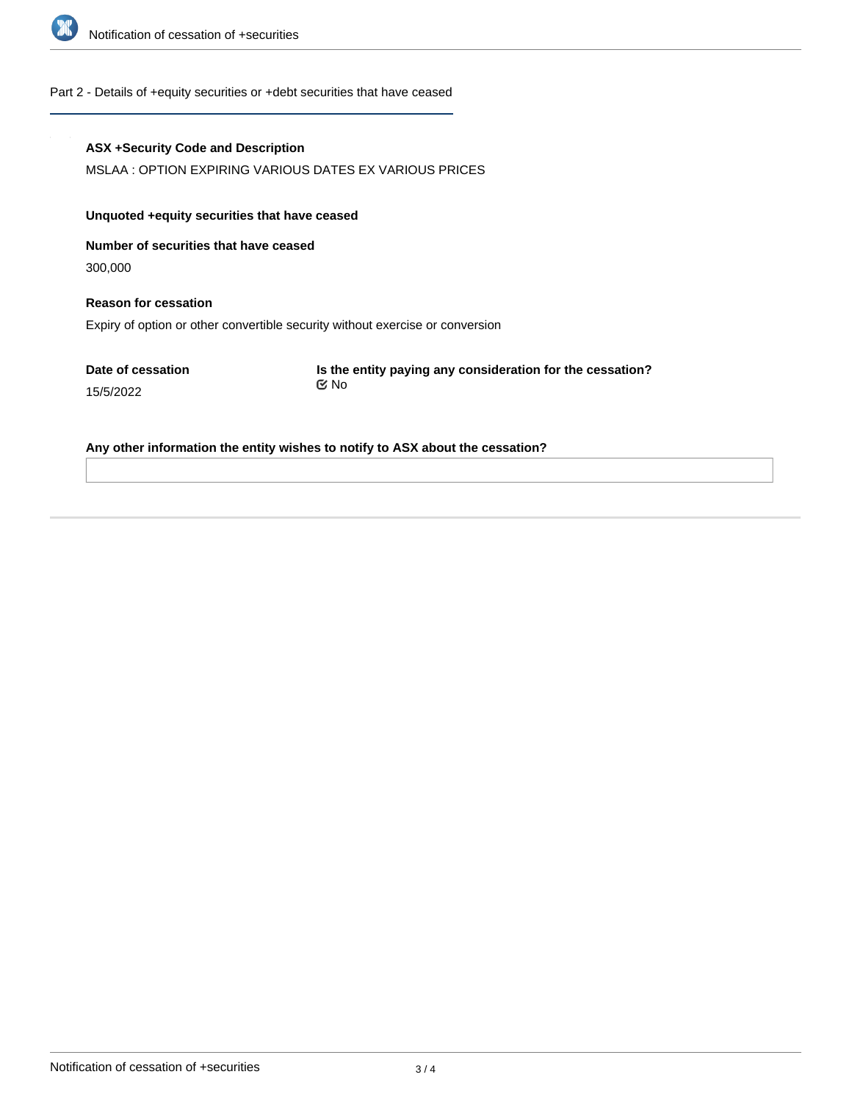

#### Part 2 - Details of +equity securities or +debt securities that have ceased

#### **ASX +Security Code and Description**

MSLAA : OPTION EXPIRING VARIOUS DATES EX VARIOUS PRICES

#### **Unquoted +equity securities that have ceased**

**Number of securities that have ceased**

300,000

# **Reason for cessation** Expiry of option or other convertible security without exercise or conversion

**Date of cessation**

15/5/2022

**Is the entity paying any consideration for the cessation?** No

### **Any other information the entity wishes to notify to ASX about the cessation?**